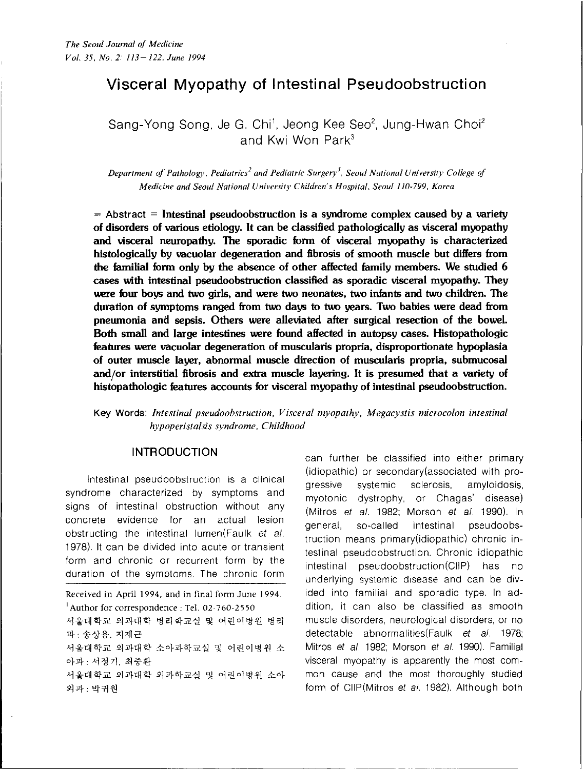# **Visceral Myopathy of Intestinal Pseudoobstruction**

Sang-Yong Song, Je G. Chi<sup>1</sup>, Jeong Kee Seo<sup>2</sup>, Jung-Hwan Choi<sup>2</sup> and Kwi Won Park"

*Department of Pathology, Pediatrics<sup>2</sup> and Pediatric Surgery<sup>3</sup>, Seoul National University College of Medicine and Seoul National University Children's Hospital, Seoul 110-799. Korea*

= **Abstract <sup>=</sup> Intestinal pseudoobstruction is a syndrome complex caused by a variety of disorders of various etiology. It can be classified pathologically as visceral myopathy and visceral neuropathy. The sporadic form of visceral myopathy is characterized histologically by vacuolar degeneration and fibrosis of smooth muscle but differs from the familial form only by the absence of other affected family members. We studied 6 cases with intestinal pseudoobstruction classified as sporadic visceral myopathy. They were four boys and two girls, and were two neonates, two infants and two children. The duration of symptoms ranged from** two **days to** two **years. Two babies were dead from pneumonia and sepsis. Others were alleviated after surgical resection of the bowel. Both small and large intestines were found affected in autopsy cases. Histopathologic features were vacuolar degeneration of muscularis propria, disproportionate hypoplasia of outer muscle layer, abnormal muscle direction of muscularis propria, submucosal and/or interstitial fibrosis and extra muscle layering. It is presumed that a variety of histopathologic features accounts for visceral myopathy of intestinal pseudoobstruction.**

Key Words: *Intestinal pseudoobstruction, Visceral myopathy, Megacystis microcolon intestinal hypoperistalsis syndrome, Childhood*

# **INTRODUCTION**

Intestinal pseudoobstruction is a clinical syndrome characterized by symptoms and signs of intestinal obstruction without any concrete evidence for an actual lesion obstructing the intestinal lumen(Faulk et al. 1978). It can be divided into acute or transient form and chronic or recurrent form by the duration of the symptoms. The chronic form

Received in April 1994. and in finat form June 1994.  $<sup>1</sup>$ Author for correspondence : Tel. 02-760-2550</sup> 서울대학교 의과대학 병리학교실 및 어린이병원 병리 과: 송상용, 지제근 서울대학교 의과대학 소아과학교실 및 어린이병원 소 아과: 서정기, 최중환 서울대학교 의과대학 외과학교실 및 어린이병원 소아 외과 : 박귀원

can further be classified into either primary (idiopathic) or secondary(associated with progressive systemic sclerosis. amyloidosis, myotonic dystrophy, or Chagas' disease) (Mitros et a/. 1982; Morson et al. 1990). In general, so-called intestinal pseudoobstruction means primary(idiopathic) chronic intestinal pseudoobstruction. Chronic idiopathic intestinal pseudoobstruction(CIIP) has no underlying systemic disease and can be divided into familial and sporadic type. In addition, it can also be classified as smooth muscle disorders, neurological disorders, or no detectable abnormalities(Faulk et al. 1978; Mitros et al. 1982; Morson et al. 1990). Familial visceral myopathy is apparently the most common cause and the most thoroughly studied form of CIIP(Mitros et al. 1982). Although both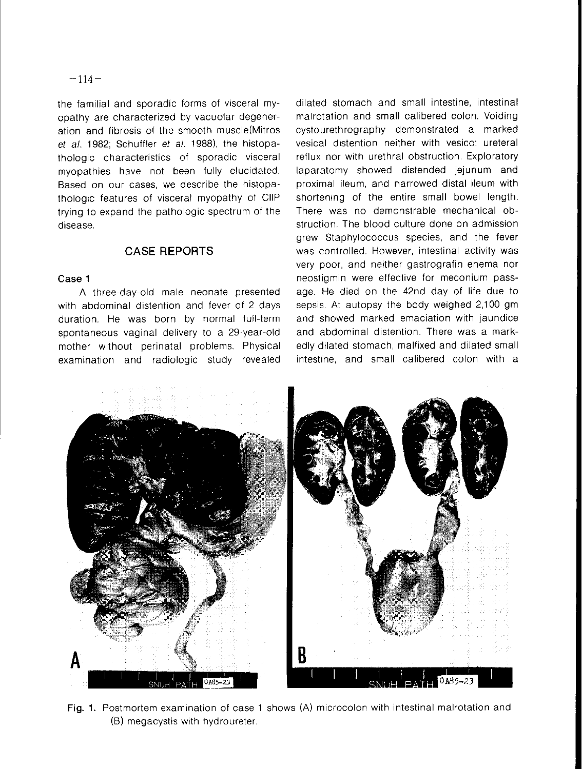the familial and sporadic forms of visceral myopathy are characterized by vacuolar degeneration and fibrosis of the smooth muscle(Mitros et al. 1982: Schuffler et al. 1988), the histopathologic characteristics of sporadic visceral myopathies have not been fully elucidated. Based on our cases, we describe the histopathologic features of visceral myopathy of CIIP trying to expand the pathologic spectrum of the disease.

# **CASE REPORTS**

# Case 1

A three-day-old male neonate presented with abdominal distention and fever of 2 days duration. He was born by normal full-term spontaneous vaginal delivery to a 29-year-old mother without perinatal problems. Physical examination and radiologic study revealed dilated stomach and small intestine, intestinal malrotation and small calibered colon. Voiding cystourethrography demonstrated a marked vesical distention neither with vesico: ureteral reflux nor with urethral obstruction. Exploratory laparatomy showed distended jejunum and proximal ileum, and narrowed distal ileum with shortening of the entire small bowel length. There was no demonstrable mechanical obstruction. The blood culture done on admission grew Staphylococcus species, and the fever was controlled. However, intestinal activity was very poor, and neither gastrografin enema nor neostigmin were effective for meconium passage. He died on the 42nd day of life due to sepsis. At autopsy the body weighed 2,100 gm and showed marked emaciation with jaundice and abdominal distention. There was a markedly dilated stomach, malfixed and dilated small intestine, and small calibered colon with a



Fig. 1. Postmortem examination of case 1 shows (A) microcolon with intestinal malrotation and (B) megacystis with hydroureter.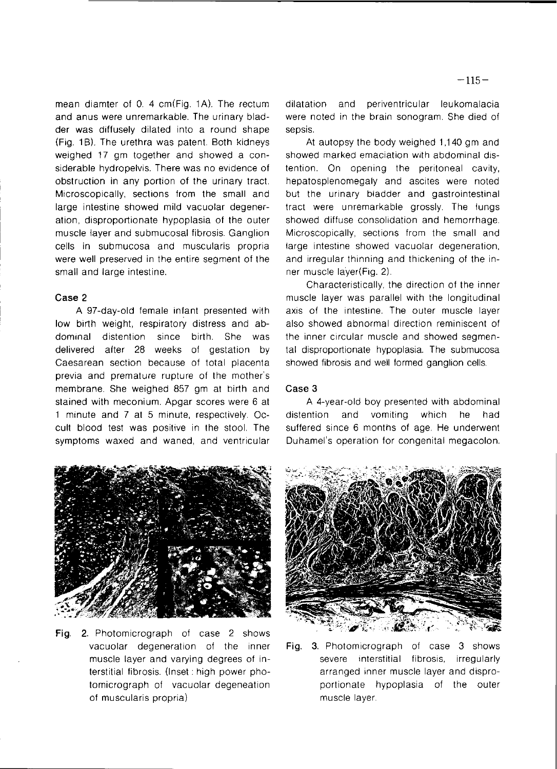mean diamter of 0. 4 cm(Fig. 1A). The rectum and anus were unremarkable. The urinary bladder was diffusely dilated into a round shape (Fig. 1B). The urethra was patent. Both kidneys weighed 17 gm together and showed a considerable hydropelvis. There was no evidence of obstruction in any portion of the urinary tract. Microscopically, sections from the small and large intestine showed mild vacuolar degeneration, disproportionate hypoplasia of the outer muscle layer and submucosal fibrosis. Ganglion cells in submucosa and muscularis propria were well preserved in the entire seament of the small and large intestine.

#### Case 2

A 97-day-old female infant presented with low birth weight, respiratory distress and abdominal distention since birth. She was delivered after 28 weeks of gestation by Caesarean section because of total placenta previa and premature rupture of the mother's membrane. She weighed 857 gm at birth and stained with meconium. Apgar scores were 6 at 1 minute and 7 at 5 minute, respectively. Occult blood test was positive in the stool. The symptoms waxed and waned, and ventricular dilatation and periventricular leukomalacia were noted in the brain sonogram. She died of sepsis.

At autopsy the body weighed 1,140 gm and showed marked emaciation with abdominal distention. On opening the peritoneal cavity, hepatosplenomegaly and ascites were noted but the urinary bladder and gastrointestinal tract were unremarkable grossly. The lungs showed diffuse consolidation and hemorrhage. Microscopically, sections from the small and large intestine showed vacuolar degeneration, and irregular thinning and thickening of the inner muscle layer(Fig. 2).

Characteristically, the direction of the inner muscle layer was parallel with the longitudinal axis of the intestine. The outer muscle layer also showed abnormal direction reminiscent of the inner circular muscle and showed segmental disproportionate hypoplasia. The submucosa showed fibrosis and well formed ganglion cells.

### Case 3

A 4-year-old boy presented with abdominal vomiting which he distention and had suffered since 6 months of age. He underwent Duhamel's operation for congenital megacolon.



Fig. 2. Photomicrograph of case 2 shows vacuolar degeneration of the inner muscle layer and varying degrees of interstitial fibrosis. (Inset : high power photomicrograph of vacuolar degeneation of muscularis propria)



Fig. 3. Photomicrograph of case 3 shows severe interstitial fibrosis, irregularly arranged inner muscle layer and disproportionate hypoplasia of the outer muscle layer.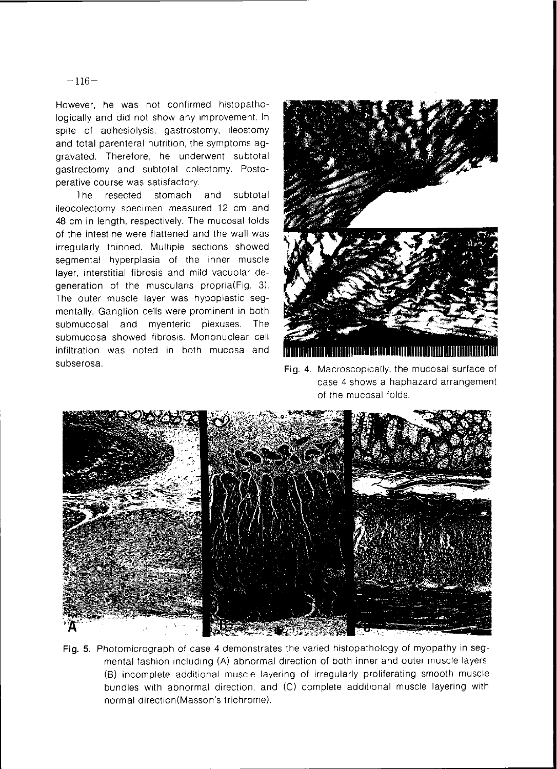However, he was not confirmed histopathologically and did not show any improvement. In spite of adhesiolysis, gastrostomy, ileostomy and total parenteral nutrition, the symptoms aggravated. Therefore, he underwent subtotal gastrectomy and subtotal colectomy. Postoperative course was satisfactory.

The resected stomach and subtotal ileocolectomy specimen measured 12 cm and 48 cm in length, respectively. The mucosal folds of the intestine were flattened and the wall was irregularly thinned. Multiple sections showed segmental hyperplasia of the inner muscle layer, interstitial fibrosis and mild vacuolar degeneration of the muscularis propria(Fig. 3). The outer muscle layer was hypoplastic segmentally. Ganglion cells were prominent in both submucosal and myenteric plexuses. The submucosa showed fibrosis. Mononuclear cell infiltration was noted in both mucosa and subserosa.



Fig. 4. Macroscopically, the mucosal surface of case 4 shows a haphazard arrangement of the mucosal folds.

![](_page_3_Picture_5.jpeg)

Fig. 5. Photomicrograph of case 4 demonstrates the varied histopathology of myopathy in segmental fashion including (A) abnormal direction of both inner and outer muscle layers, (B) incomplete additional muscle layering of irregularly proliferating smooth muscle bundles with abnormal direction, and (C) complete additional muscle layering with normal direction (Masson's trichrome).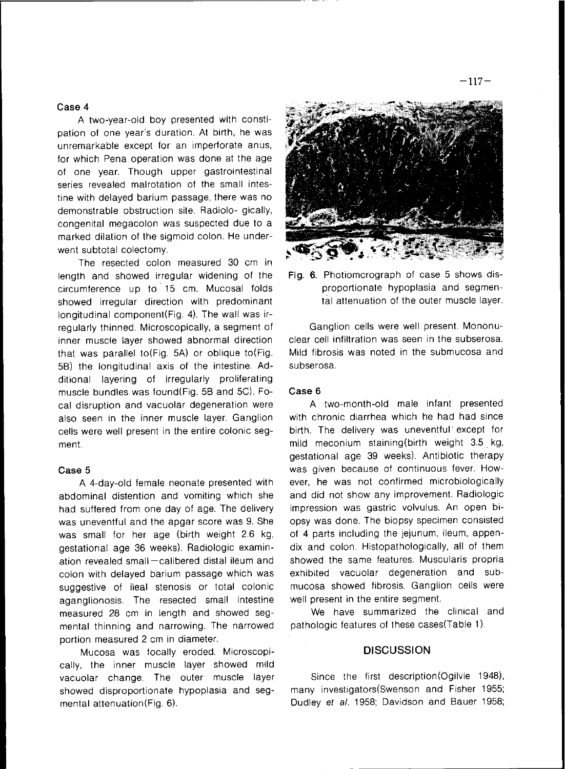#### Case 4

A two-year-old boy presented with constipation of one year's duration. At birth, he was unremarkable except for an imperforate anus, for which Pena operation was done at the age of one year. Though upper gastrointestinal series revealed malrotation of the small intestine with delayed barium passage, there was no demonstrable obstruction site. Radiolo- gically, congenital megacolon was suspected due to a marked dilation of the sigmoid colon. He underwent subtotal colectomy.

The resected colon measured 30 cm in length and showed irregular widening of the circumference up to 15 cm. Mucosal folds showed irregular direction with predominant longitudinal component(Fig. 4). The wall was irregularly thinned. Microscopically, a segment of inner muscle layer showed abnormal direction that was parallel to (Fig. 5A) or oblique to (Fig. 5B) the longitudinal axis of the intestine. Additional layering of irregularly proliferating muscle bundles was found(Fig. 5B and 5C). Focal disruption and vacuolar degeneration were also seen in the inner muscle layer. Ganglion cells were well present in the entire colonic segment.

#### Case 5

A 4-day-old female neonate presented with abdominal distention and vomiting which she had suffered from one day of age. The delivery was uneventful and the apgar score was 9. She was small for her age (birth weight 2.6 kg, gestational age 36 weeks). Radiologic examination revealed small-calibered distal ileum and colon with delayed barium passage which was suggestive of ileal stenosis or total colonic aganglionosis. The resected small intestine measured 28 cm in length and showed segmental thinning and narrowing. The narrowed portion measured 2 cm in diameter.

Mucosa was focally eroded. Microscopically, the inner muscle layer showed mild vacuolar change. The outer muscle layer showed disproportionate hypoplasia and segmental attenuation (Fig. 6).

![](_page_4_Picture_6.jpeg)

Fig. 6. Photiomcrograph of case 5 shows disproportionate hypoplasia and segmental attenuation of the outer muscle layer.

Ganglion cells were well present. Mononuclear cell infiltration was seen in the subserosa. Mild fibrosis was noted in the submucosa and subserosa.

# Case 6

A two-month-old male infant presented with chronic diarrhea which he had had since birth. The delivery was uneventful except for mild meconium staining(birth weight 3.5 kg, gestational age 39 weeks). Antibiotic therapy was given because of continuous fever. However, he was not confirmed microbiologically and did not show any improvement. Radiologic impression was gastric volvulus. An open biopsy was done. The biopsy specimen consisted of 4 parts including the jejunum, ileum, appendix and colon. Histopathologically, all of them showed the same features. Muscularis propria exhibited vacuolar degeneration and submucosa showed fibrosis. Ganglion cells were well present in the entire segment.

We have summarized the clinical and pathologic features of these cases(Table 1).

#### **DISCUSSION**

Since the first description (Ogilvie 1948), many investigators(Swenson and Fisher 1955; Dudley et al. 1958; Davidson and Bauer 1958;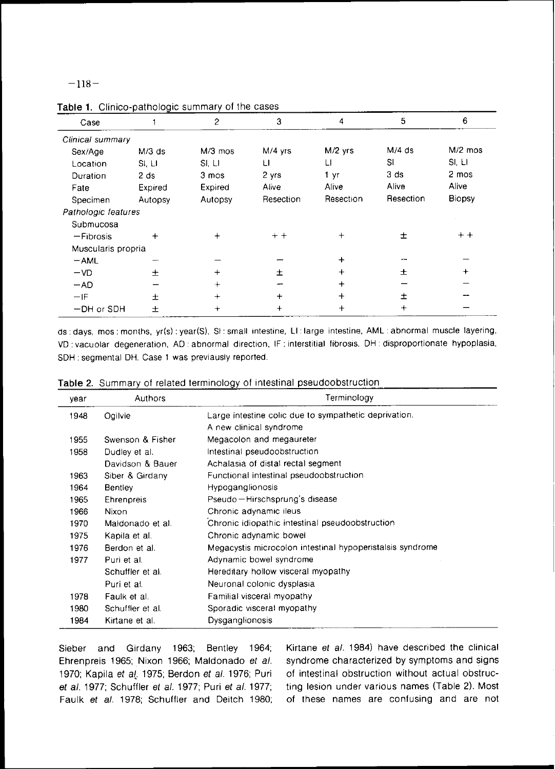# $-118-$

| Case                |                 | $\overline{c}$ | 3           | 4            | 5               | 6             |
|---------------------|-----------------|----------------|-------------|--------------|-----------------|---------------|
| Clinical summary    |                 |                |             |              |                 |               |
| Sex/Age             | $M/3$ ds        | $M/3$ mos      | $M/4$ yrs   | $M/2$ yrs    | $M/4$ ds        | $M/2$ mos     |
| Location            | SI, LI          | SI, LI         | П           | LI           | <b>SI</b>       | SI, LI        |
| Duration            | 2 <sub>ds</sub> | 3 mos          | 2 yrs       | 1 yr         | 3 <sub>ds</sub> | 2 mos         |
| Fate                | Expired         | Expired        | Alive       | Alive        | Alive           | Alive         |
| Specimen            | Autopsy         | Autopsy        | Resection   | Resection    | Resection       | <b>Biopsy</b> |
| Pathologic features |                 |                |             |              |                 |               |
| Submucosa           |                 |                |             |              |                 |               |
| $-Fibrosis$         | $\ddot{}$       | $\ddot{}$      | $+ +$       | $\ddot{}$    | 土               | $+ +$         |
| Muscularis propria  |                 |                |             |              |                 |               |
| $- AML$             |                 |                |             | +            |                 |               |
| $-\mathsf{VD}$      | 土               | $^{+}$         | $\mathbf +$ | $\ddot{}$    | 土               | +             |
| $-AD$               |                 | $+$            |             | $\ddot{}$    |                 |               |
| $-IF$               | 士               | $^{+}$         |             | $^{+}$       | 士               |               |
| $-DH$ or SDH        | 土               |                |             | $\mathrm{+}$ | ┿               |               |

Table 1. Clinico-pathologic summary of the cases

ds : days, mos : months, yr(s) : year(S), SI : small intestine, LI : large intestine, AML : abnormal muscle layering, VD: vacuolar degeneration, AD: abnormal direction, IF: interstitial fibrosis, DH: disproportionate hypoplasia, SDH : segmental DH. Case 1 was previausly reported.

| year | Authors          | Terminology                                               |
|------|------------------|-----------------------------------------------------------|
| 1948 | Ogilvie          | Large intestine colic due to sympathetic deprivation.     |
|      |                  | A new clinical syndrome                                   |
| 1955 | Swenson & Fisher | Megacolon and megaureter                                  |
| 1958 | Dudley et al.    | Intestinal pseudoobstruction                              |
|      | Davidson & Bauer | Achalasia of distal rectal segment                        |
| 1963 | Siber & Girdany  | Functional intestinal pseudoobstruction                   |
| 1964 | Bentley          | Hypoganglionosis                                          |
| 1965 | Ehrenpreis       | Pseudo – Hirschsprung's disease                           |
| 1966 | Nixon            | Chronic adynamic ileus                                    |
| 1970 | Maldonado et al. | Chronic idiopathic intestinal pseudoobstruction           |
| 1975 | Kapila et al.    | Chronic adynamic bowel                                    |
| 1976 | Berdon et al.    | Megacystis microcolon intestinal hypoperistalsis syndrome |
| 1977 | Puri et al.      | Adynamic bowel syndrome                                   |
|      | Schuffler et al. | Hereditary hollow visceral myopathy                       |
|      | Puri et al.      | Neuronal colonic dysplasia                                |
| 1978 | Faulk et al.     | Familial visceral myopathy                                |
| 1980 | Schuffler et al. | Sporadic visceral myopathy                                |
| 1984 | Kirtane et al.   | Dysganglionosis                                           |

Table 2. Summary of related terminology of intestinal pseudoobstruction

Sieber and Girdany 1963; Bentley 1964; Ehrenpreis 1965; Nixon 1966; Maldonado et al. 1970; Kapila et al. 1975; Berdon et al. 1976; Puri et al. 1977; Schuffler et al. 1977; Puri et al. 1977; Faulk et al. 1978; Schuffler and Deitch 1980; Kirtane et al. 1984) have described the clinical syndrome characterized by symptoms and signs of intestinal obstruction without actual obstructing lesion under various names (Table 2). Most of these names are confusing and are not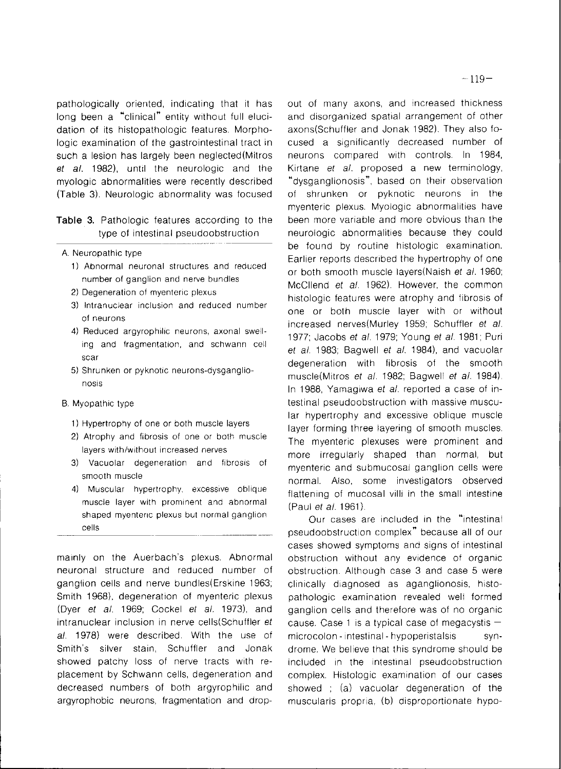pathologically oriented, indicating that it has long been a "clinical" entity without full elucidation of its histopathologic features. Morphologic examination of the gastrointestinal tract in such a lesion has largely been neglected (Mitros et al. 1982), until the neurologic and the myologic abnormalities were recently described (Table 3). Neurologic abnormality was focused

# Table 3. Pathologic features according to the type of intestinal pseudoobstruction

- A. Neuropathic type
	- 1) Abnormal neuronal structures and reduced number of ganglion and nerve bundles
	- 2) Degeneration of myenteric plexus
	- 3) Intranuclear inclusion and reduced number of neurons
	- 4) Reduced argyrophilic neurons, axonal swelling and fragmentation, and schwann cell scar
	- 5) Shrunken or pyknotic neurons-dysganglionosis
- B. Myopathic type
	- 1) Hypertrophy of one or both muscle layers
	- 2) Atrophy and fibrosis of one or both muscle layers with/without increased nerves
	- 3) Vacuolar degeneration and fibrosis of smooth muscle
	- 4) Muscular hypertrophy, excessive oblique muscle layer with prominent and abnormal shaped myenteric plexus but normal ganglion cells

mainly on the Auerbach's plexus. Abnormal neuronal structure and reduced number of ganglion cells and nerve bundles (Erskine 1963; Smith 1968), degeneration of myenteric plexus (Dyer et al. 1969; Cockel et al. 1973), and intranuclear inclusion in nerve cells(Schuffler et al. 1978) were described. With the use of Smith's silver stain, Schuffler and Jonak showed patchy loss of nerve tracts with replacement by Schwann cells, degeneration and decreased numbers of both argyrophilic and argyrophobic neurons, fragmentation and dropout of many axons, and increased thickness and disorganized spatial arrangement of other axons(Schuffler and Jonak 1982). They also focused a significantly decreased number of neurons compared with controls. In 1984, Kirtane et al. proposed a new terminology, "dysganglionosis", based on their observation of shrunken or pyknotic neurons in the myenteric plexus. Myologic abnormalities have been more variable and more obvious than the neurologic abnormalities because they could be found by routine histologic examination. Earlier reports described the hypertrophy of one or both smooth muscle layers (Naish et al. 1960; McCllend et al. 1962). However, the common histologic features were atrophy and fibrosis of one or both muscle layer with or without increased nerves(Murley 1959; Schuffler et al. 1977; Jacobs et al. 1979; Young et al. 1981; Puri et al. 1983; Bagwell et al. 1984), and vacuolar degeneration with fibrosis of the smooth muscle(Mitros et al. 1982; Bagwell et al. 1984). In 1988, Yamagiwa et al. reported a case of intestinal pseudoobstruction with massive muscular hypertrophy and excessive oblique muscle layer forming three layering of smooth muscles. The myenteric plexuses were prominent and more irregularly shaped than normal, but myenteric and submucosal ganglion cells were normal. Also, some investigators observed flattening of mucosal villi in the small intestine (Paul et al. 1961).

Our cases are included in the "intestinal pseudoobstruction complex" because all of our cases showed symptoms and signs of intestinal obstruction without any evidence of organic obstruction. Although case 3 and case 5 were clinically diagnosed as aganglionosis, histopathologic examination revealed well formed ganglion cells and therefore was of no organic cause. Case 1 is a typical case of megacystis  $$ microcolon - intestinal - hypoperistalsis  $SVD$ drome. We believe that this syndrome should be included in the intestinal pseudoobstruction complex. Histologic examination of our cases showed; (a) vacuolar degeneration of the muscularis propria, (b) disproportionate hypo-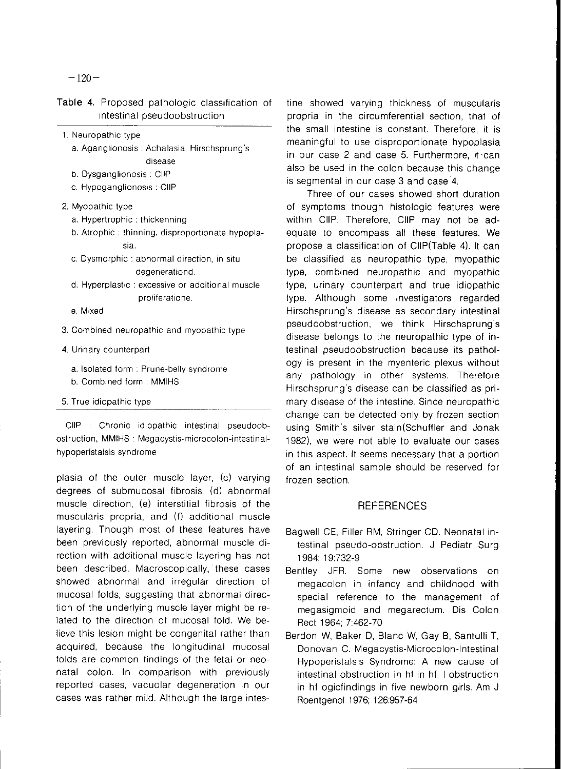| T. Toposou patrioiogio ciassimoation o<br>intestinal pseudoobstruction |
|------------------------------------------------------------------------|
| 1. Neuropathic type                                                    |
| a. Aganglionosis : Achalasia, Hirschsprung's                           |
| disease                                                                |
| b. Dysganglionosis: CIIP<br>c. Hypoganglionosis: CIIP                  |
|                                                                        |
| 2. Myopathic type                                                      |
| a. Hypertrophic: thickenning                                           |
| b. Atrophic : thinning, disproportionate hypopla-<br>sia.              |
| c. Dysmorphic : abnormal direction, in situ                            |
| degenerationd.                                                         |
| d. Hyperplastic : excessive or additional muscle                       |
| proliferatione.                                                        |
| e. Mixed                                                               |
| 3. Combined neuropathic and myopathic type                             |
| 4. Urinary counterpart                                                 |
| a. Isolated form: Prune-belly syndrome                                 |
| b. Combined form: MMIHS                                                |
| 5. True idiopathic type                                                |
| CIIP<br>Chronic idiopathic intestinal pseudoob-                        |
| ostruction, MMIHS : Megacystis-microcolon-intestinal-                  |
| hypoperistalsis syndrome                                               |
|                                                                        |
| plasia of the outer muscle layer, (c) varying                          |
| degrees of submucosal fibrosis, (d) abnormal                           |

muscle direction, (e) interstitial fibrosis of the muscularis propria, and (f) additional muscle layering. Though most of these features have been previously reported, abnormal muscle direction with additional muscle layering has not been described. Macroscopically, these cases showed abnormal and irregular direction of mucosal folds, suggesting that abnormal direction of the underlying muscle laver might be related to the direction of mucosal fold. We believe this lesion might be congenital rather than acquired, because the longitudinal mucosal folds are common findings of the fetal or neonatal colon. In comparison with previously reported cases, vacuolar degeneration in our cases was rather mild. Although the large intestine showed varying thickness of muscularis propria in the circumferential section, that of the small intestine is constant. Therefore, it is meaningful to use disproportionate hypoplasia in our case 2 and case 5. Furthermore, it can also be used in the colon because this change is segmental in our case 3 and case 4.

Three of our cases showed short duration of symptoms though histologic features were within CIIP. Therefore, CIIP may not be adequate to encompass all these features. We propose a classification of CIIP(Table 4). It can be classified as neuropathic type, myopathic type, combined neuropathic and myopathic type, urinary counterpart and true idiopathic type. Although some investigators regarded Hirschsprung's disease as secondary intestinal pseudoobstruction, we think Hirschsprung's disease belongs to the neuropathic type of intestinal pseudoobstruction because its pathology is present in the myenteric plexus without any pathology in other systems. Therefore Hirschsprung's disease can be classified as primary disease of the intestine. Since neuropathic change can be detected only by frozen section using Smith's silver stain(Schuffler and Jonak 1982), we were not able to evaluate our cases in this aspect. It seems necessary that a portion of an intestinal sample should be reserved for frozen section.

### **REFERENCES**

- Bagwell CE, Filler RM, Stringer CD. Neonatal intestinal pseudo-obstruction. J Pediatr Surg 1984; 19:732-9
- Bentley JFR. Some new observations on megacolon in infancy and childhood with special reference to the management of megasigmoid and megarectum. Dis Colon Rect 1964; 7:462-70
- Berdon W, Baker D, Blanc W, Gay B, Santulli T, Donovan C. Megacystis-Microcolon-Intestinal Hypoperistalsis Syndrome: A new cause of intestinal obstruction in hf in hf I obstruction in hf ogicfindings in five newborn girls. Am J Roentgenol 1976; 126:957-64

|                              |  |  |  | <b>Table 4.</b> Proposed pathologic classification of |  |  |  |  |
|------------------------------|--|--|--|-------------------------------------------------------|--|--|--|--|
| intestinal pseudoobstruction |  |  |  |                                                       |  |  |  |  |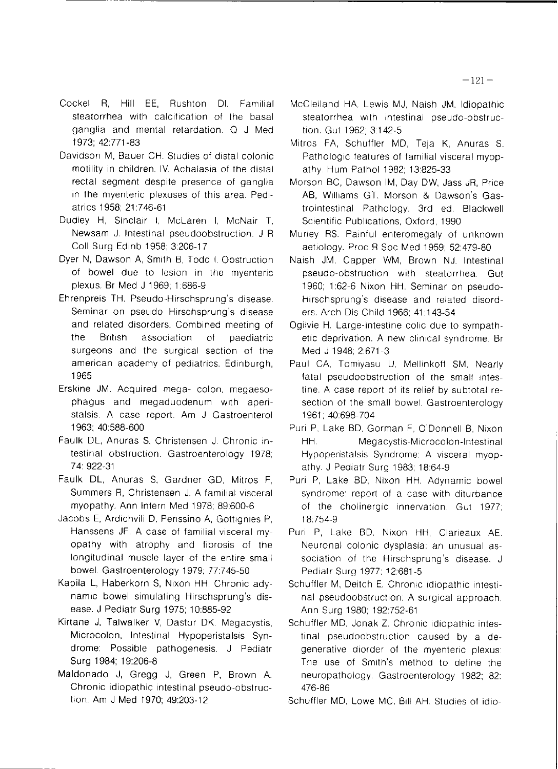- Cockel R. Hill EE, Rushton DI, Familial steatorrhea with calcification of the basal ganglia and mental retardation. Q J Med 1973; 42:771-83
- Davidson M, Bauer CH. Studies of distal colonic motility in children. IV. Achalasia of the distal rectal segment despite presence of ganglia in the myenteric plexuses of this area. Pediatrics 1958; 21:746-61
- Dudley H, Sinclair I, McLaren I, McNair T, Newsam J. Intestinal pseudoobstruction. J R Coll Surg Edinb 1958; 3:206-17
- Dyer N, Dawson A, Smith B, Todd I. Obstruction of bowel due to lesion in the myenteric plexus. Br Med J 1969; 1:686-9
- Ehrenpreis TH. Pseudo-Hirschsprung's disease. Seminar on pseudo Hirschsprung's disease and related disorders. Combined meeting of the **British** association of paediatric surgeons and the surgical section of the american academy of pediatrics. Edinburgh, 1965
- Erskine JM. Acquired mega- colon, megaesophagus and megaduodenum with aperistalsis. A case report. Am J Gastroenterol 1963: 40:588-600
- Faulk DL, Anuras S, Christensen J. Chronic intestinal obstruction. Gastroenterology 1978; 74: 922-31
- Faulk DL, Anuras S. Gardner GD, Mitros F. Summers R, Christensen J. A familial visceral myopathy. Ann Intern Med 1978; 89:600-6
- Jacobs E, Ardichvili D, Perissino A, Gottignies P, Hanssens JF. A case of familial visceral myopathy with atrophy and fibrosis of the longitudinal muscle layer of the entire small bowel. Gastroenterology 1979; 77:745-50
- Kapila L, Haberkorn S, Nixon HH. Chronic advnamic bowel simulating Hirschsprung's disease. J Pediatr Surg 1975; 10:885-92
- Kirtane J, Talwalker V, Dastur DK. Megacystis, Microcolon, Intestinal Hypoperistalsis Syndrome: Possible pathogenesis. J Pediatr Surg 1984; 19:206-8
- Maldonado J, Gregg J, Green P, Brown A. Chronic idiopathic intestinal pseudo-obstruction. Am J Med 1970; 49:203-12
- McClelland HA, Lewis MJ, Naish JM. Idiopathic steatorrhea with intestinal pseudo-obstruction. Gut 1962; 3:142-5
- Mitros FA, Schuffler MD, Teja K, Anuras S. Pathologic features of familial visceral myopathy. Hum Pathol 1982; 13:825-33
- Morson BC, Dawson IM, Day DW, Jass JR, Price AB, Williams GT. Morson & Dawson's Gastrointestinal Pathology. 3rd ed. Blackwell Scientific Publications, Oxford, 1990
- Murley RS. Painful enteromegaly of unknown aetiology. Proc R Soc Med 1959; 52:479-80.
- Naish JM, Capper WM, Brown NJ. Intestinal pseudo-obstruction with steatorrhea. Gut 1960; 1:62-6 Nixon HH. Seminar on pseudo-Hirschsprung's disease and related disorders. Arch Dis Child 1966; 41:143-54
- Ogilvie H. Large-intestine colic due to sympathetic deprivation. A new clinical syndrome. Br Med J 1948: 2:671-3
- Paul CA, Tomiyasu U, Mellinkoff SM. Nearly fatal pseudoobstruction of the small intestine. A case report of its relief by subtotal resection of the small bowel. Gastroenterology 1961; 40:698-704
- Puri P, Lake BD, Gorman F, O'Donnell B, Nixon. HH. Megacystis-Microcolon-Intestinal Hypoperistalsis Syndrome: A visceral myopathy. J Pediatr Surg 1983; 18:64-9
- Puri P, Lake BD, Nixon HH. Adynamic bowel syndrome: report of a case with diturbance of the cholinergic innervation. Gut 1977; 18:754-9
- Puri P, Lake BD, Nixon HH, Clarieaux AE. Neuronal colonic dysplasia: an unusual association of the Hirschsprung's disease. J Pediatr Surg 1977; 12:681-5
- Schuffler M, Deitch E. Chronic idiopathic intestinal pseudoobstruction: A surgical approach. Ann Surg 1980; 192:752-61
- Schuffler MD, Jonak Z. Chronic idiopathic intestinal pseudoobstruction caused by a degenerative diorder of the myenteric plexus: The use of Smith's method to define the neuropathology. Gastroenterology 1982; 82: 476-86

Schuffler MD, Lowe MC, Bill AH. Studies of idio-